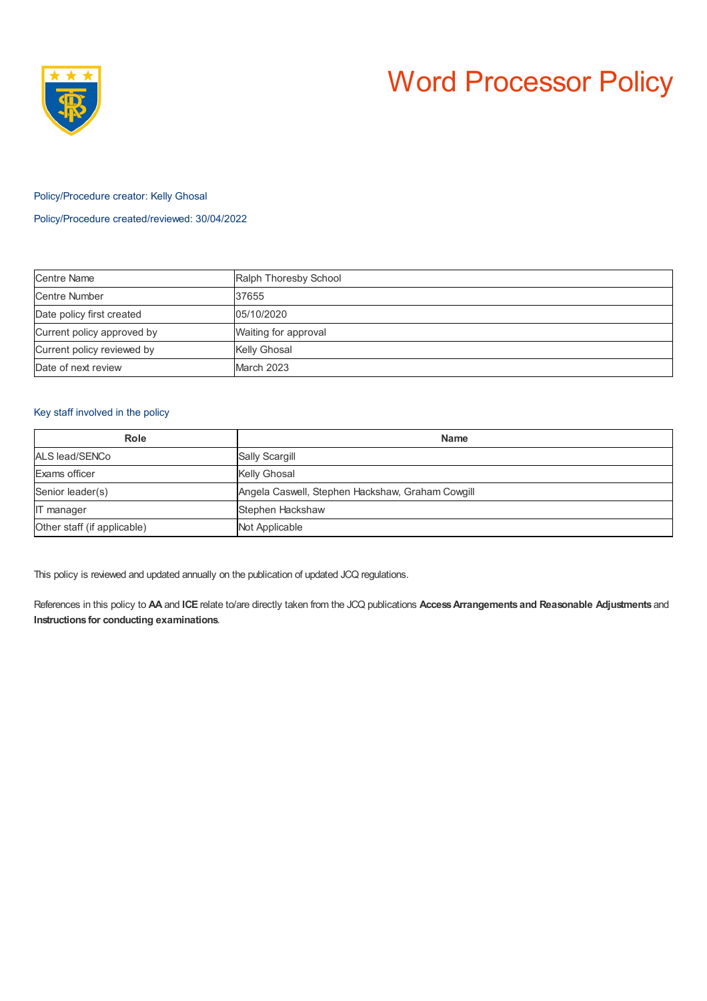

# Word Processor Policy

#### Policy/Procedure creator: Kelly Ghosal

## Policy/Procedure created/reviewed: 30/04/2022

| <b>Centre Name</b>         | Ralph Thoresby School |
|----------------------------|-----------------------|
| Centre Number              | 37655                 |
| Date policy first created  | 05/10/2020            |
| Current policy approved by | Waiting for approval  |
| Current policy reviewed by | <b>Kelly Ghosal</b>   |
| Date of next review        | March 2023            |

## Key staff involved in the policy

| Role                        | <b>Name</b>                                      |
|-----------------------------|--------------------------------------------------|
| ALS lead/SENCo              | <b>Sally Scargill</b>                            |
| Exams officer               | <b>Kelly Ghosal</b>                              |
| Senior leader(s)            | Angela Caswell, Stephen Hackshaw, Graham Cowgill |
| <b>IT</b> manager           | Stephen Hackshaw                                 |
| Other staff (if applicable) | Not Applicable                                   |

This policy is reviewed and updated annually on the publication of updated JCQ regulations.

References in this policy to **AA** and **ICE** relate to/are directly taken from the JCQ publications **AccessArrangements and Reasonable Adjustments** and **Instructions for conducting examinations**.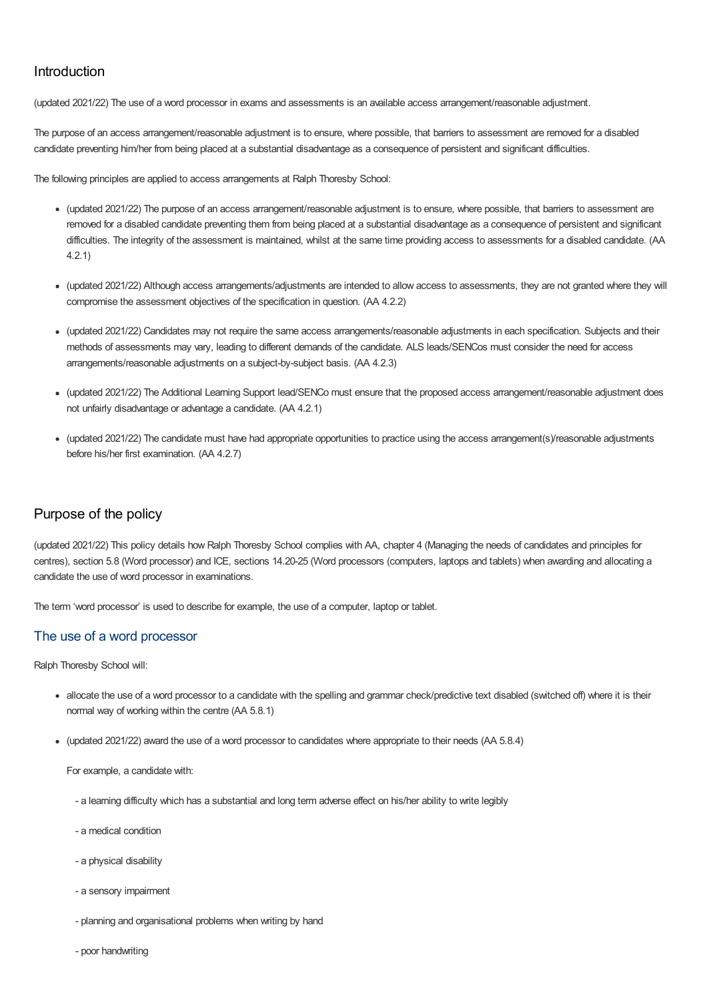# Introduction

(updated 2021/22) The use of a word processor in exams and assessments is an available access arrangement/reasonable adjustment.

The purpose of an access arrangement/reasonable adjustment is to ensure, where possible, that barriers to assessment are removed for a disabled candidate preventing him/her from being placed at a substantial disadvantage as a consequence of persistent and significant difficulties.

The following principles are applied to access arrangements at Ralph Thoresby School:

- (updated 2021/22) The purpose of an access arrangement/reasonable adjustment is to ensure, where possible, that barriers to assessment are removed for a disabled candidate preventing them from being placed at a substantial disadvantage as a consequence of persistent and significant difficulties. The integrity of the assessment is maintained, whilst at the same time providing access to assessments for a disabled candidate. (AA 4.2.1)
- (updated 2021/22) Although access arrangements/adjustments are intended to allow access to assessments, they are not granted where they will compromise the assessment objectives of the specification in question. (AA 4.2.2)
- (updated 2021/22) Candidates may not require the same access arrangements/reasonable adjustments in each specification. Subjects and their methods of assessments may vary, leading to different demands of the candidate. ALS leads/SENCos must consider the need for access arrangements/reasonable adjustments on a subject-by-subject basis. (AA 4.2.3)
- (updated 2021/22) The Additional Learning Support lead/SENCo must ensure that the proposed access arrangement/reasonable adjustment does not unfairly disadvantage or advantage a candidate. (AA 4.2.1)
- (updated 2021/22) The candidate must have had appropriate opportunities to practice using the access arrangement(s)/reasonable adjustments before his/her first examination. (AA 4.2.7)

# Purpose of the policy

(updated 2021/22) This policy details how Ralph Thoresby School complies with AA, chapter 4 (Managing the needs of candidates and principles for centres), section 5.8 (Word processor) and ICE, sections 14.20-25 (Word processors (computers, laptops and tablets) when awarding and allocating a candidate the use of word processor in examinations.

The term 'word processor' is used to describe for example, the use of a computer, laptop or tablet.

### The use of a word processor

Ralph Thoresby School will:

- allocate the use of a word processor to a candidate with the spelling and grammar check/predictive text disabled (switched off) where it is their normal way of working within the centre (AA 5.8.1)
- (updated 2021/22) award the use of a word processor to candidates where appropriate to their needs (AA 5.8.4)

For example, a candidate with:

- a learning difficulty which has a substantial and long term adverse effect on his/her ability to write legibly
- a medical condition
- a physical disability
- a sensory impairment
- planning and organisational problems when writing by hand
- poor handwriting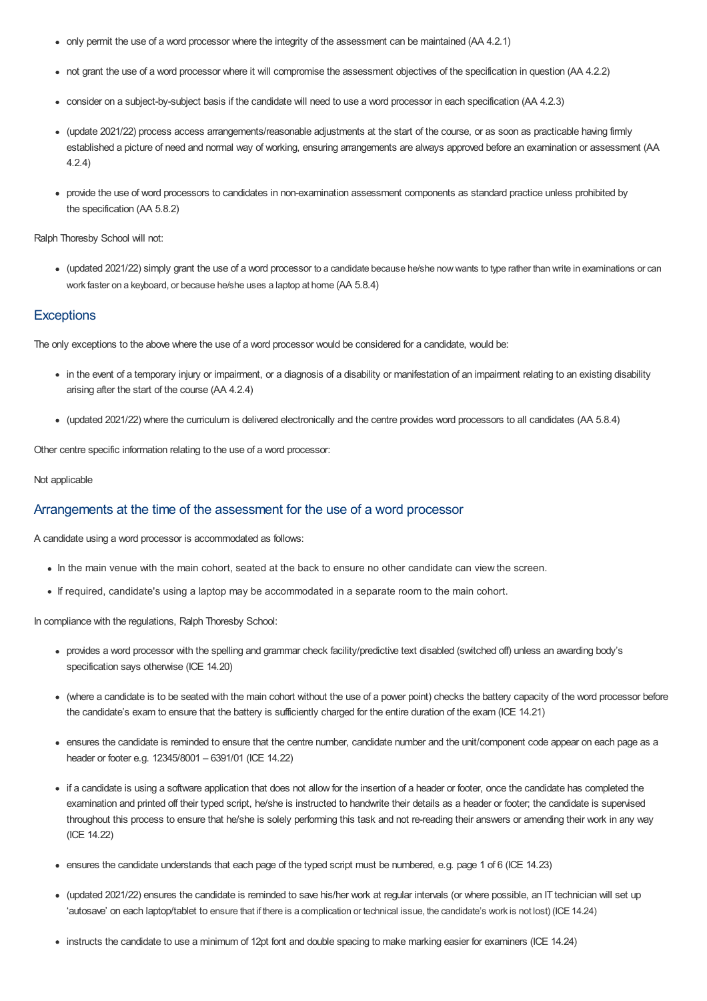- only permit the use of a word processor where the integrity of the assessment can be maintained (AA 4.2.1)
- not grant the use of a word processor where it will compromise the assessment objectives of the specification in question (AA 4.2.2)
- consider on a subject-by-subject basis if the candidate will need to use a word processor in each specification (AA 4.2.3)
- (update 2021/22) process access arrangements/reasonable adjustments at the start of the course, or as soon as practicable having firmly established a picture of need and normal way of working, ensuring arrangements are always approved before an examination or assessment (AA 4.2.4)
- provide the use of word processors to candidates in non-examination assessment components as standard practice unless prohibited by the specification (AA 5.8.2)

Ralph Thoresby School will not:

• (updated 2021/22) simply grant the use of a word processor to a candidate because he/she now wants to type rather than write in examinations or can work faster on a keyboard, or because he/she uses a laptop at home (AA 5.8.4)

#### **Exceptions**

The only exceptions to the above where the use of a word processor would be considered for a candidate, would be:

- in the event of a temporary injury or impairment, or a diagnosis of a disability or manifestation of an impairment relating to an existing disability arising after the start of the course (AA 4.2.4)
- (updated 2021/22) where the curriculum is delivered electronically and the centre provides word processors to all candidates (AA 5.8.4)

Other centre specific information relating to the use of a word processor:

#### Not applicable

#### Arrangements at the time of the assessment for the use of a word processor

A candidate using a word processor is accommodated as follows:

- In the main venue with the main cohort, seated at the back to ensure no other candidate can view the screen.
- If required, candidate's using a laptop may be accommodated in a separate room to the main cohort.

In compliance with the regulations, Ralph Thoresby School:

- provides a word processor with the spelling and grammar check facility/predictive text disabled (switched off) unless an awarding body's specification says otherwise (ICE 14.20)
- (where a candidate is to be seated with the main cohort without the use of a power point) checks the battery capacity of the word processor before the candidate's exam to ensure that the battery is sufficiently charged for the entire duration of the exam (ICE 14.21)
- ensures the candidate is reminded to ensure that the centre number, candidate number and the unit/component code appear on each page as a header or footer e.g. 12345/8001 – 6391/01 (ICE 14.22)
- if a candidate is using a software application that does not allow for the insertion of a header or footer, once the candidate has completed the examination and printed off their typed script, he/she is instructed to handwrite their details as a header or footer; the candidate is supervised throughout this process to ensure that he/she is solely performing this task and not re-reading their answers or amending their work in any way (ICE 14.22)
- ensures the candidate understands that each page of the typed script must be numbered, e.g. page 1 of 6 (ICE 14.23)
- (updated 2021/22) ensures the candidate is reminded to save his/her work at regular intervals (or where possible, an IT technician will set up 'autosave' on each laptop/tablet to ensure that if there is a complication or technical issue, the candidate's work is not lost) (ICE14.24)
- instructs the candidate to use a minimum of 12pt font and double spacing to make marking easier for examiners (ICE 14.24)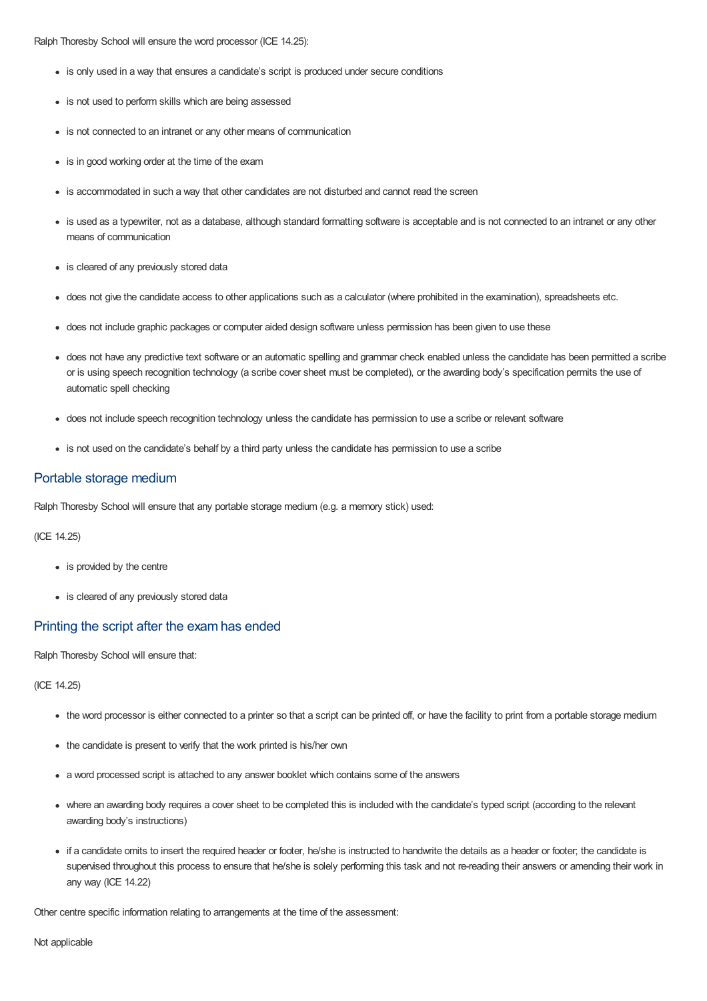Ralph Thoresby School will ensure the word processor (ICE 14.25):

- is only used in a way that ensures a candidate's script is produced under secure conditions
- is not used to perform skills which are being assessed
- is not connected to an intranet or any other means of communication
- is in good working order at the time of the exam
- is accommodated in such a way that other candidates are not disturbed and cannot read the screen
- is used as a typewriter, not as a database, although standard formatting software is acceptable and is not connected to an intranet or any other means of communication
- is cleared of any previously stored data
- does not give the candidate access to other applications such as a calculator (where prohibited in the examination), spreadsheets etc.
- does not include graphic packages or computer aided design software unless permission has been given to use these
- does not have any predictive text software or an automatic spelling and grammar check enabled unless the candidate has been permitted a scribe or is using speech recognition technology (a scribe cover sheet must be completed), or the awarding body's specification permits the use of automatic spell checking
- does not include speech recognition technology unless the candidate has permission to use a scribe or relevant software
- is not used on the candidate's behalf by a third party unless the candidate has permission to use a scribe

#### Portable storage medium

Ralph Thoresby School will ensure that any portable storage medium (e.g. a memory stick) used:

(ICE 14.25)

- is provided by the centre
- is cleared of any previously stored data

#### Printing the script after the exam has ended

Ralph Thoresby School will ensure that:

(ICE 14.25)

- the word processor is either connected to a printer so that a script can be printed off, or have the facility to print from a portable storage medium
- the candidate is present to verify that the work printed is his/her own
- a word processed script is attached to any answer booklet which contains some of the answers
- where an awarding body requires a cover sheet to be completed this is included with the candidate's typed script (according to the relevant awarding body's instructions)
- if a candidate omits to insert the required header or footer, he/she is instructed to handwrite the details as a header or footer; the candidate is supervised throughout this process to ensure that he/she is solely performing this task and not re-reading their answers or amending their work in any way (ICE 14.22)

Other centre specific information relating to arrangements at the time of the assessment:

Not applicable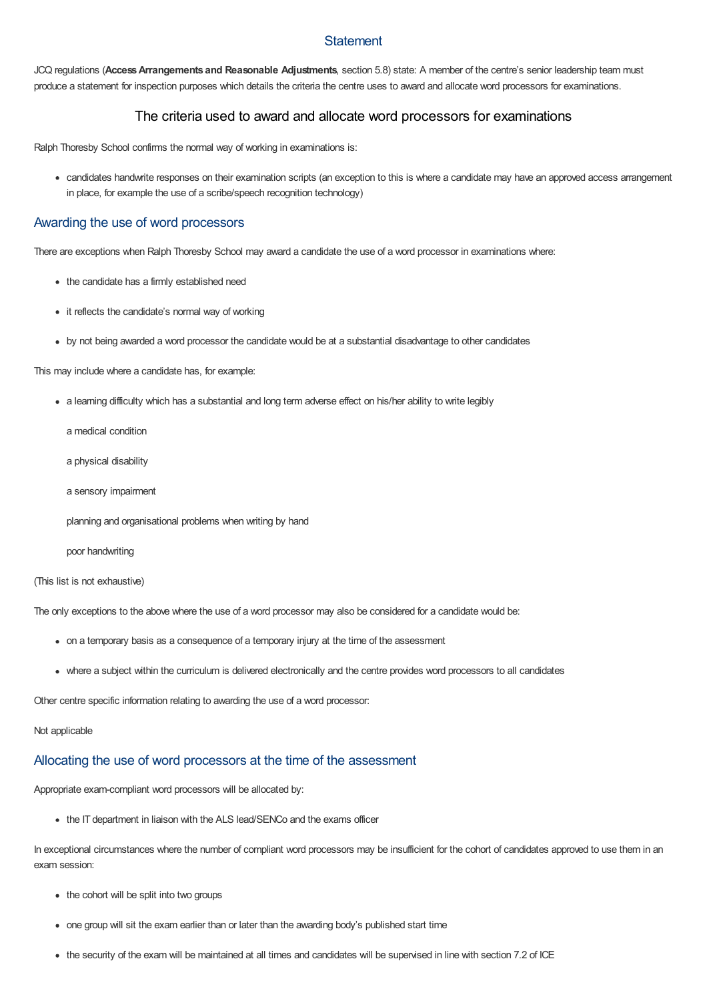### **Statement**

JCQ regulations (**AccessArrangements and Reasonable Adjustments**, section 5.8) state: A member of the centre's senior leadership team must produce a statement for inspection purposes which details the criteria the centre uses to award and allocate word processors for examinations.

## The criteria used to award and allocate word processors for examinations

Ralph Thoresby School confirms the normal way of working in examinations is:

candidates handwrite responses on their examination scripts (an exception to this is where a candidate may have an approved access arrangement in place, for example the use of a scribe/speech recognition technology)

#### Awarding the use of word processors

There are exceptions when Ralph Thoresby School may award a candidate the use of a word processor in examinations where:

- the candidate has a firmly established need
- it reflects the candidate's normal way of working
- by not being awarded a word processor the candidate would be at a substantial disadvantage to other candidates

This may include where a candidate has, for example:

- a learning difficulty which has a substantial and long term adverse effect on his/her ability to write legibly
	- a medical condition
	- a physical disability
	- a sensory impairment
	- planning and organisational problems when writing by hand
	- poor handwriting

#### (This list is not exhaustive)

The only exceptions to the above where the use of a word processor may also be considered for a candidate would be:

- on a temporary basis as a consequence of a temporary injury at the time of the assessment
- where a subject within the curriculum is delivered electronically and the centre provides word processors to all candidates

Other centre specific information relating to awarding the use of a word processor:

#### Not applicable

# Allocating the use of word processors at the time of the assessment

Appropriate exam-compliant word processors will be allocated by:

• the IT department in liaison with the ALS lead/SENCo and the exams officer

In exceptional circumstances where the number of compliant word processors may be insufficient for the cohort of candidates approved to use them in an exam session:

- the cohort will be split into two groups
- one group will sit the exam earlier than or later than the awarding body's published start time
- the security of the exam will be maintained at all times and candidates will be supervised in line with section 7.2 of ICE